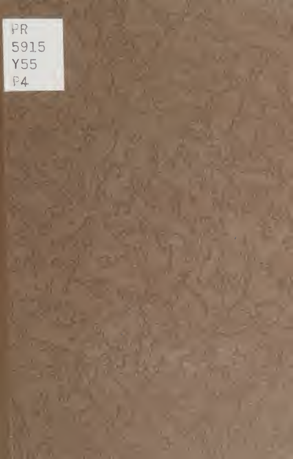PR 5915 **Y55**  $P4$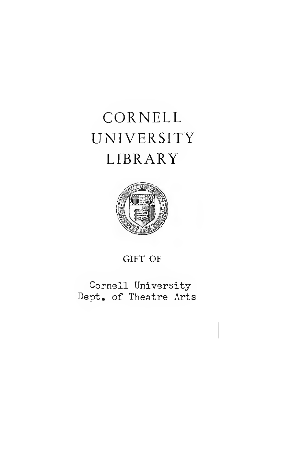# CORNELL UNIVERSITY LIBRARY



GIFT OF

Cornell University Dept. of Theatre Arts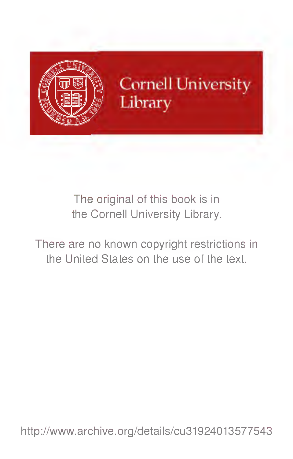

**Cornell University** Library

The original of this book is in the Cornell University Library.

There are no known copyright restrictions in the United States on the use of the text.

http://www.archive.org/details/cu31924013577543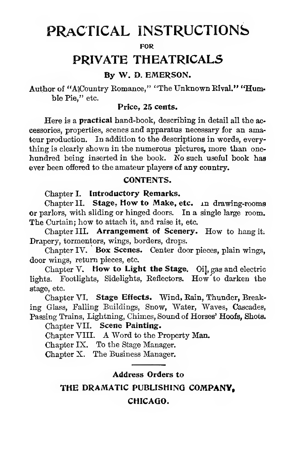# PRACTICAL INSTRUCTIONS

FOR

## PRIVATE THEATRICALS

#### By W. D. EMERSON.

Author of "A\Country Eomance," "The Unknown Eival." "Humble Pie," etc.

#### Price, 25 cents.

Here is a **practical** hand-book, describing in detail all the accessories, properties, scenes and apparatus necessary for an amateur production. In addition to the descriptions in words, every thing is clearly shown in the numerous pictures, more than one hundred being inserted in the book. No such useful book haa ever been offered to the amateur players of any country.

#### CONTENTS.

Chapter I. Introductory Remarks.

Chapter II. Stage, How to Make, etc. in drawing-rooms or parlors, with sliding or hinged doors. In a single large room. The Curtain; how to attach it, and raise it, etc.

Chapter III. Arrangement of Scenery. How to hang it; Drapery, tormentors, wings, borders, drops.

Chapter IV. Box Scenes. Center door pieces, plain wings, door wings, return pieces, etc.

Chapter V. How to Light the Stage. Oil, gas and electric lights. Footlights, Sidelights, Eeflectors. How to darken the stage, etc.

Chapter VI. Stage Effects. Wind, Rain, Thunder, Breaking Glass, Falling Buildings, Snow, Water, Waves, Cascades, Passing Trains, Lightning, Chimes, Sound of Horses' Hoofs, Shots.

Chapter VII. Scene Painting.

Chapter VIII. A Word to the Property Man.

Chapter IX. To the Stage Manager.

Chapter X. The Business Manager.

#### Address Orders to

THE DRAMATIC PUBLISHING COMPANY,

#### CHICAGO.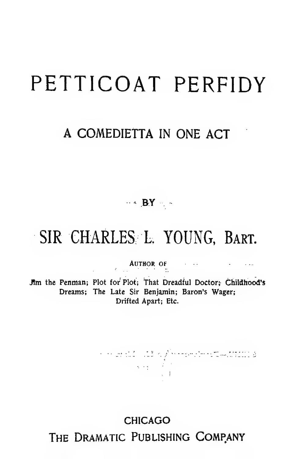# PETTICOAT PERFIDY

## A COMEDIETTA IN ONE ACT

## $\cdots$  BY .

# SIR CHARLES L. YOUNG. BART.

## AUTHOR OF

Jim the Penman; Plot for Plot; That Dreadful Doctor; Childhood's Dreams; The Late Sir Benjamin; Baron's Wager; Drifted Apart; Etc.

n men 110 util KyYmraeofen († 400 min) a<br>Start Village († 1

## CHICAGO

The Dramatic Publishing Company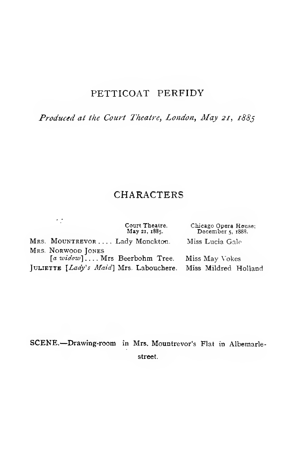## PETTICOAT PERFIDY

Produced at the Court Theatre, London, May 21, 1885

## CHARACTERS

|                                         | Court Theatre.<br>May 21, 1885. | Chicago Opera House;<br>December 5, 1888. |
|-----------------------------------------|---------------------------------|-------------------------------------------|
| MRS. MOUNTREVOR Lady Monckton.          |                                 | Miss Lucia Gale                           |
| MRS. NORWOOD JONES                      |                                 |                                           |
| [a widow] Mrs Beerbohm Tree.            |                                 | Miss May Vokes                            |
| JULIETTE [Lady's Maid] Mrs. Labouchere. |                                 | Miss Mildred Holland                      |

, .

SCENE.—Drawing-room in Mrs. Mountrevor's Flat in Albemarlestreet.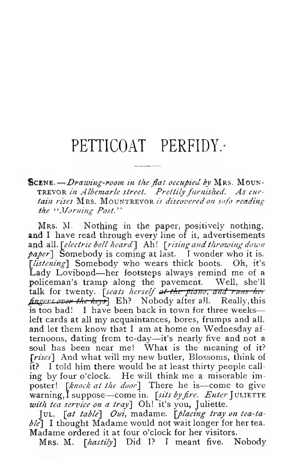# PETTICOAT PERFIDY.

#### SCENE. - Drawing-room in the flat occupied by MRS. MOUN-TREVOR in Albemarle street. Prettily furnished. As curtain rises MRS. MOUNTREVOR is discovered on sofa reading the 'Worning Post.''

Mrs. M. Nothing in the paper, positively nothing, and I have read through every line of it, advertisements and all. [electric bell heard] Ah! [rising and throwing down  $paper$ ] Somebody is coming at last. I wonder who it is. [listening] Somebody who wears thick boots. Oh, it's Lady Lovibond—her footsteps always remind me of <sup>a</sup> policeman's tramp along the pavement. Well, she'll talk for twenty. *Iseats herself at the piano*, and runs her fingers over the keys Eh? Nobody after all. Really, this is too bad! <sup>I</sup> have been back in town for three weeks left cards at all my acquaintances, bores, frumps and all, and let them know that <sup>I</sup> am at home on Wednesday af ternoons, dating from to-day—it's nearly five and not <sup>a</sup> soul has been near me! What is the meaning of it? [rises] And what will my new butler, Blossoms, think of it? <sup>I</sup> told him there would be at least thirty people call ing by four o'clock. He will think me <sup>a</sup> miserable imposter! [knock at the door] There he is—come to give warning, I suppose—come in. [sits by fire. Enter JULIETTE with tea service on a tray] Oh! it's you, Juliette.

 $[UL.$   $[at table]$  Oui, madame.  $[placing$  tray on tea-ta $bl^c$ ] I thought Madame would not wait longer for her tea.<br>Madame ordered it at four o'clock for her visitors.

Mrs. M. [hastily] Did I? I meant five. Nobody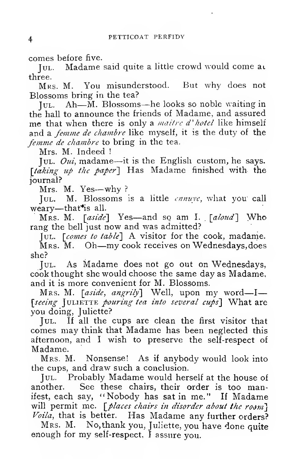comes before five.

JUL. Madame said quite a little crowd would come at three.

Mrs. M. You misunderstood. But why does not Blossoms bring in the tea?

Jul. Ah—M. Blossoms—he looks so noble waiting in the hall to announce the friends of Madame, and assured me that when there is only a *maitre d'hotel* like himself and a *femme de chambre* like myself, it is the duty of the femme de chambre to bring in the tea.

Mrs. M. Indeed !

Jul. Oui, madame—it is the English custom, he says. [taking up the paper] Has Madame finished with the journal?

Mrs. M. Yes—why ?

Jul. M. Blossoms is a little  $\textit{cmnuve}$ , what you call weary—that<sup>\*</sup>is all.

 $Mrs. M.$  [aside] Yes—and so am I. [aloud] Who rang the bell just now and was admitted?

 $\lceil \text{UL.} \rceil$  *comes to table*] A visitor for the cook, madame.

Mrs. M. Oh—my cook receives on Wednesdays, does she?

Jul. As Madame does not go out on Wednesdays, cook thought she would choose the same day as Madame, and it is more convenient for M. Blossoms.

MRS. M. [aside, angrily] Well, upon my word-I-[seeing JULIETTE pouring tea into several cups] What are you doing, Juliette?

Jul. If all the cups are clean the first visitor that comes may think that Madame has been neglected this afternoon, and <sup>I</sup> wish to preserve the self-respect of Madame.

Mrs. M. Nonsense! As if anybody would look into the cups, and draw such a conclusion.

Jul. Probably Madame would herself at the house of another. See these chairs, their order is too manifest, each say, "Nobody has satin me." If Madame will permit me.  $\lceil$  places chairs in disorder about the room}  $Voila$ , that is better. Has Madame any further orders?

Mrs. M. No, thank you, Juliette, you have done quite enough for my self-respect, <sup>I</sup> assure you.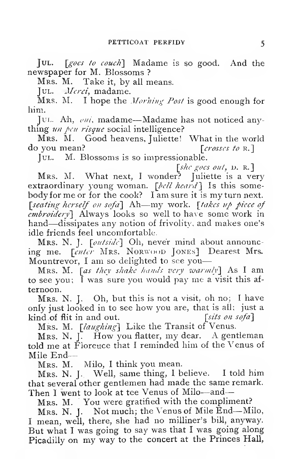JUL. [goes to couch] Madame is so good. And the newspaper for M. Blossoms ?

Mrs. M. Take it, by all means.

JUL. Marci, madame.

Mrs. M. I hope the *Morning Post* is good enough for him.

Jul. Ah,  $\omega u$ , madame—Madame has not noticed anything  $\mu$ n pen risque social intelligence?

Mrs. M. Good heavens, Juliette! What in the world do you mean?  $\lceil crosscs \mid to \rceil$ 

Jul. M. Blossoms is so impressionable.

[shc goes out, p. r.]<br>Mrs. M. What next, I wonder? Juliette is a very extraordinary young woman.  $\lceil \text{bell } \text{heart} \rceil \rceil$  is this somebody for me or for the cook? I am sure it is my turn next.  $\lceil$ seating herself on sofa $\rceil$  Ah—my work.  $\lceil$ takes up piece of embroidery) Always looks so well to have some work in hand—dissipates any notion of frivolity, and makes one's idle friends feel uncomfortable.

Mrs. N. J. [outside] Oh, never mind about announcing me. [enter Mrs. Norwood Jones] Dearest Mrs. Mountrevor, I am so delighted to see you-

Mrs. M. [as they shake hands very warmly] As I am to see you; <sup>I</sup> was sure you would pay me <sup>a</sup> visit this af ternoon.

Mrs. N. J. Oh, but this is not <sup>a</sup> visit, oh no; <sup>I</sup> have only just looked in to see how you are, that is all; just a kind of flit in and out.  $[sits \text{ on } softa]$ 

Mrs. M. [laughing] Like the Transit of Venus.

Mrs. N. [. How you flatter, my dear. A gentleman told me at Floreuce that I reminded him of the Venus of Mile End—

Mrs. M. Milo, <sup>I</sup> think you mean.

Mrs. N. J. Well, same thing, <sup>I</sup> believe. <sup>I</sup> told him that several other gentlemen had made the same remark. Then I went to look at tee Venus of Milo---and--

Mrs. M. You were gratified with the compliment?

Mrs. N. J. Not much; the Venus of Mile End—Milo, <sup>I</sup> mean, well, there, she had no milliner's bill, anyway. But what <sup>I</sup> was going to say was that <sup>I</sup> was going along Picadilly on my way to the concert at the Princes Hall,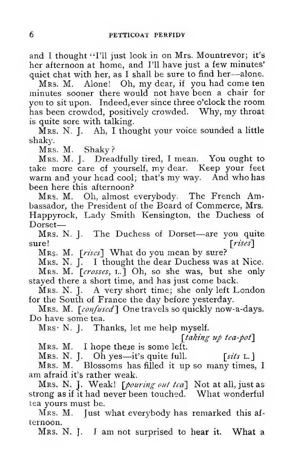and I thought "I'll just look in on Mrs. Mountrevor; it's her afternoon at home, and I'll have just a few minutes' quiet chat with her, as <sup>I</sup> shall be sure to find her—alone.

Mrs. M. Alone! Oh, my dear, if you had come ten minutes sooner there would not have been a chair for you to sit upon. Indeed, ever since three o'clock the room has been crowded, positively crowded. Why, my throat is quite sore with talking.

 $\hat{M}$ RS. N. J. Ah, I thought your voice sounded a little shaky.

Mrs. M. Shaky?

Mrs. M. J. Dreadfully tired, <sup>I</sup> mean. You ought to take more care of yourself, my dear. Keep your feet warm and your head cool; that's my way. And who has been here this afternoon?

Mrs. M. Oh, almost everybody. The French Ambassador, the President of the Board of Commerce, Mrs. Happyrock, Lady Smith Kensington, the Duchess of  $\mathop{\rm Dorset}\nolimits$ —

Mrs. N. J. The Duchess of Dorset—are you quite sure! [*rises*]

Mrs. M. [rises] What do you mean by sure?

Mrs. N.  $\overline{I}$ . I thought the dear Duchess was at Nice. Mrs. M. [crosses, L.] Oh, so she was, but she only

stayed there a short time, and has just come back.

Mrs. N. J. A very short time; she only left London for the South of France the day before yesterday.

Mrs. M. [confused] One travels so quickly now-a-days. Do have some tea.

 $MRS \cdot N$ . J. Thanks, let me help myself.

[taking up tea-pot]

Mrs. M. I hope there is some left.<br>Mrs. N. J. Oh yes—it's quite full.

Mrs. N. J. Oh yes—it's quite full. [sits L.]<br>Mrs. M. Blossoms has filled it up so many times, I<br>am afraid it's rather weak.

Mrs. N. J. Weak! [pouring out tea] Not at all, just as strong as if it had never been touched. What wonderful tea yours must be.

Mrs. M. Just what everybody has remarked this afternoon.

Mrs. N. J. <sup>I</sup> am not surprised to hear it. What <sup>a</sup>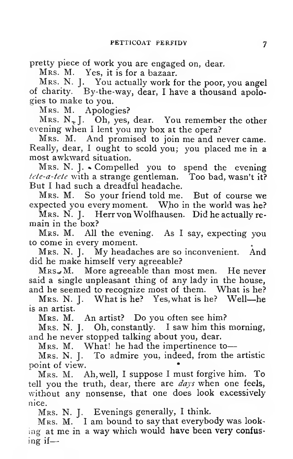pretty piece of work you are engaged on, dear.

Mrs. M. Yes, it is for a bazaar.

Mrs. N. J. You actually work for the poor, you angel of charity. By-the-way, dear, <sup>I</sup> have a thousand apologies to make to you.

Mrs. M. Apologies?

Mrs.  $N_{\tau}$  J. Oh, yes, dear. You remember the other evening when <sup>I</sup> lent you my box at the opera?

Mrs. M. And promised to join me and never came. Really, dear, <sup>I</sup> ought to scold you; you placed me in <sup>a</sup> most awkward situation.

Mrs. N. J. • Compelled you to spend the evening tete-a-tete with a strange gentleman. Too bad, wasn't it? But <sup>I</sup> had such a dreadful headache.

Mrs. M. So your friend told me. But of course we expected you every moment. Who in the world was he?

Mrs. N. J. Herr von Wolfhausen. Did he actually re- main in the box?

Mrs. M. All the evening. As <sup>I</sup> say, expecting you to come in every moment.

Mrs. N. J. My headaches are so inconvenient. And did he make himself very agreeable?

 $MRS$ . More agreeable than most men. He never said a single unpleasant thing of any lady in the house, and he seemed to recognize most of them. What is he?

Mrs. N. J. What is he? Yes, what is he? Well-he is an artist.

Mrs. M. An artist? Do you often see him?

Mrs. N. J. Oh, constantly. <sup>I</sup> saw him this morning, and he never stopped talking about you, dear.

Mrs. M. What! he had the impertinence to-

Mrs. N. J. To admire you, indeed, from the artistic point of view. \*

Mrs. M. Ah, well, <sup>I</sup> suppose <sup>I</sup> must forgive him. To tell you the truth, dear, there are  $days$  when one feels, without any nonsense, that one does look excessively nice.

Mrs. N. J. Evenings generally, <sup>I</sup> think.

MRS. M. I am bound to say that everybody was looking at me in a way which would have been very confusing if—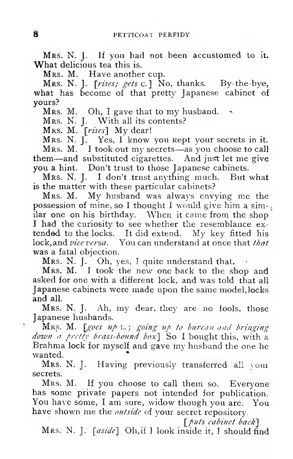MRS. N. J. If you had not been accustomed to it. What delicious tea this is.

Mrs. M. Have another cup.

MRS. N. J. [rises; gets c.] No, thanks. By-the-bye, what has become of that pretty Japanese cabinet of vours?

MRS. M. Oh, I gave that to my husband.

MRS. N. J. With all its contents?

MRS. M. [rises] My dear!

MRS. N. J. Yes, I know you kept your secrets in it. MRS. M. I took out my secrets—as you choose to call them—and substituted cigarettes. And just let me give you a hint. Don't trust to those Japanese cabinets.<br>MRS. N. J. I don't trust anything much. But

But what is the matter with these particular cabinets?

Mrs. M. My husband was always envying me the possession of mine, so I thought I would give him a similar one on his birthday. When it came from the shop I had the curiosity to see whether the resemblance extended to the locks. It did extend. My key fitted his lock, and vice versa. You can understand at once that that was a fatal objection.

Mrs. N. J. Oh, yes, I quite understand that.

Mrs. M. I took the new one back to the shop and asked for one with a different lock, and was told that all Japanese cabinets were made upon the same model, locks and all.

MRS. N. J. Ah, my dear, they are no fools, those Japanese husbands.

MRS. M. [goes up L.; going up to bureau and bringing down a pretty brass-bound box] So I bought this, with a Brahma lock for myself and gave my husband the one he wanted.

Mrs. N. J. Having previously transferred all your secrets.

MRS. M. If you choose to call them so. Everyone has some private papers not intended for publication. You have some, I am sure, widow though you are. You have shown me the *outside* of your secret repository.

[puts cabinet back]

MRS. N. J. [aside] Oh, if 1 look inside it, I should find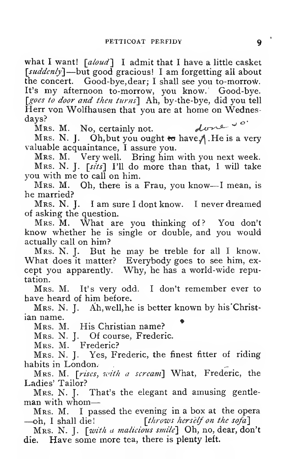what I want!  $\lceil$  aloud'] I admit that I have a little casket [suddenly]—but good gracious! I am forgetting all about the concert. Good-bye, dear; I shall see you to-morrow. It's my afternoon to-morrow, you know. Good-bye. [goes to door and then turns] Ah, by-the-bye, did you tell Herr von Wolfhausen that you are at home on Wednesdays?

Mrs. M. No, certainly not.

Mrs. N. J. Oh, but you ought to have. A. He is a very valuable acquaintance, <sup>I</sup> assure you.

Mrs. M. Very well. Bring him with you next week. Mrs. N. J. [sits] I'll do more than that, <sup>I</sup> will take you with me to call on him.

Mrs. M. Oh, there is <sup>a</sup> Frau, you know—<sup>I</sup> mean, is he married?

Mrs. N. J. <sup>I</sup> am sure <sup>I</sup> dont know. <sup>I</sup> never dreamed of asking the question.<br>MRS. M. What are you thinking of? You don't

know whether he is single or double, and you would actually call on him?

Mrs. N. J. But he may be treble for all <sup>I</sup> know. What does it matter? Everybody goes to see him, ex cept you apparently. Why, he has a world-wide reputation.

Mrs. M. It's very odd. <sup>I</sup> don't remember ever to have heard of him before.

Mrs. N. J. Ah, well, he is better known by his Christian name.

Mrs. M. His Christian name?

Mrs. N. J. Of course, Frederic.

Mrs. M. Frederic?

Mrs. N. J. Yes, Frederic, the finest fitter of riding habits in London.

Mrs. M. [rises, with a scream] What, Frederic, the Ladies' Tailor?

Mrs. N. J. That's the elegant and amusing gentleman with whom

Mrs. M. I passed the evening in a box at the opera —oh, I shall die! [throws herself on the sofa] [throws herself on the sofa]

Mrs. N. J. [with a malicious smile] Oh, no, dear, don't die. Have some more tea, there is plenty left.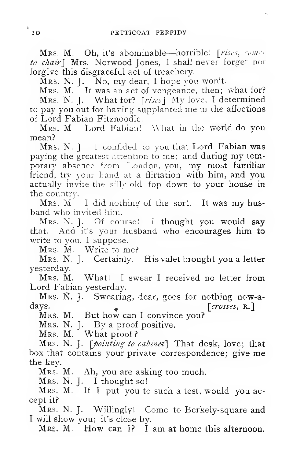Mrs. M. Oh, it's abominable—horrible! [rises, content to chair] Mrs. Norwood Jones, I shall never forget not forgive this disgraceful act of treachery.

Mrs. N. J. No, my dear, <sup>I</sup> hope you won't. Mrs. M. It was an act of vengeance, then; what for?

Mrs. N. J. What for? [rises] My love, I determined to pay you out for having supplanted me in the affections of Lord Fabian Fitznoodle.

Mrs. M. Lord Fabian! What in the world do you mean?

Mrs. N. J. <sup>I</sup> confided to you that Lord Fabian was paying the greatest attention to me; and during my temporary absence from London, you, my most familiar friend, try your hand at a flirtation with him, and you actually invite the silly old fop down to your house in the country.

Mrs. M. I did nothing of the sort. It was my husband who invited him.

Mrs. N. J. Of course! <sup>I</sup> thought you would say that. And it's your husband who encourages him to write to you, I suppose.

Mrs. M. Write to me?

Mrs. N. J. Certainly. His valet brought you a letter yesterday.

Mrs. M. What! <sup>I</sup> swear <sup>I</sup> received no letter from Lord Fabian yesterday.

Mrs. N. J. Swearing, dear, goes for nothing now-a-<br>days. [crosses, R.] days. [*crosses*, r.]<br>Mrs. M. But how can I convince you?

MRS. N. J. By a proof positive.

Mrs. M. <sup>\*</sup> What proof? <sup>\*</sup><br>Mrs. N. J. [*pointing to cabine*d] That desk, love; tha**t** box that contains your private correspondence; give me the key.

Mrs. M. Ah, you are asking too much.<br>Mrs. N. J. I thought so!

Mrs. M. If I put you to such a test, would you accept it?

Mrs. N. J. Willingly! Come to Berkely-square and <sup>I</sup> will show you; it's close by.

Mrs. M. How can I? I am at home this afternoon.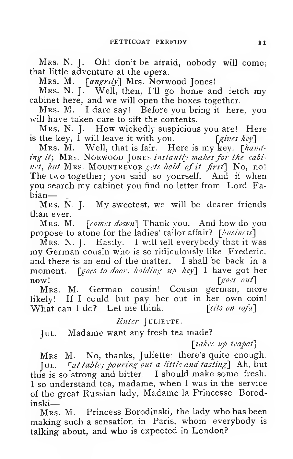Mrs. N. J. Oh! don't be afraid, nobody will come; that little adventure at the opera.

Mrs. M. [angrily] Mrs. Norwood Jones!

Mrs. N. J. Well, then, I'll go home and fetch my cabinet here, and we will open the boxes together.

Mrs. M. <sup>I</sup> dare say! Before you bring it here, you will have taken care to sift the contents.

Mrs. N. J. How wickedly suspicious you are! Here<br>the key, I will leave it with you. [gives key] is the key,  $\check{I}$  will leave it with you.

Mrs. M. Well, that is fair. Here is my key. [handing it; MRS. NORWOOD JONES instantly makes for the cabinet, but MRS. MOUNTREVOR gets hold of it first] No, no! The two together; you said so yourself. And if when you search my cabinet you find no letter from Lord Fa-

bian—<br>Mrs. N. J. My sweetest, we will be dearer friends than ever.

Mrs. M. [comes down] Thank you. And how do you propose to atone for the ladies' tailor affair?  $[\text{b} \text{usiness}]$ <br>Mrs. N. J. Easily. I will tell everybody that it was

my German cousin who is so ridiculously like Frederic, and there is an end of the matter. <sup>I</sup> shall be back in a moment.  $\int \mathcal{g} \rho \rho s \, t \rho \, d\rho \rho r$ , holding up key $\int I$  have got her  $\lceil \text{goes out} \rceil$ 

Mrs. M. German cousin! Cousin german, more likely! If <sup>I</sup> could but pay her out in her own coin! What can I do? Let me think. [sits on sofa]

Enter JULIETTE.

Jul. Madame want any fresh tea made?

[takes up teapot]

Mrs. M. No, thanks, Juliette; there's quite enough. Jul. [at table; pouring out a little and tasting] Ah, but this is so strong and bitter. <sup>I</sup> should make some fresh. I so understand tea, madame, when I was in the service of the great Russian lady, Madame la Princesse Borodinski

Mrs. M. Princess Borodinski, the lady who has been making such <sup>a</sup> sensation in Paris, whom everybody is talking about, and who is expected in London?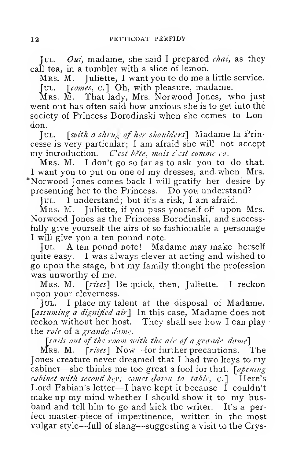Jul. Oui, madame, she said I prepared *chai*, as they call tea, in a tumbler with a slice of lemon.

Mrs. M. Juliette, <sup>I</sup> want you to do me a little service. Jul. [comes, c.] Oh, with pleasure, madame.

Mrs. M. That lady, Mrs. Norwood Jones, who just went out has often said how anxious she is to get into the society of Princess Borodinski when she comes to London.

Jul. \with <sup>a</sup> shrug of her shoulders'] Madame la Prin cesse is very particular; <sup>I</sup> am afraid she will not accept my introduction. C'est bète, mais c'est comme ca.

Mrs. M. <sup>I</sup> don't go so far as to ask you to do that. <sup>I</sup> want you to put on one of my dresses, and when Mrs. \*Norwood Jones comes back <sup>I</sup> will gratify her desire by presenting her to the Princess. Do you understand?

Jul. <sup>I</sup> understand; but it's <sup>a</sup> risk, <sup>I</sup> am afraid.

Mrs. M. Juliette, if you pass yourself off upon Mrs. Norwood Jones as the Princess Borodinski, and successfully give yourself the airs of so fashionable a personage <sup>I</sup> will give you a ten pound note.

Jul. a ten pound note! Madame may make herself quite easy. <sup>I</sup> was always clever at acting and wished to go upon the stage, but my family thought the profession was unworthy of me.

Mrs. M. [rises] Be quick, then, Juliette. I reckon upon your cleverness.

Jul. <sup>I</sup> place my talent at the disposal of Madame. [assuming a dignified air] In this case, Madame does not reckon without her host. They shall see how I can play the *role* of a grande dame.

 $\sim$  [sails out of the room with the air of a grande dame]  $\sim$  M as. M.  $\sim$  Frises I Now—for further precautions.

[ $rises$ ] Now—for further precautions. The Jones creature never dreamed that <sup>I</sup> had two keys to my cabinet—she thinks me too great a fool for that.  $\lceil \phi \rho_{\ell} \eta_{\ell} \rceil$ cabinet with second key; comes down to table,  $c$ .] Here's Lord Fabian's letter—<sup>I</sup> have kept it because <sup>I</sup> couldn't make up my mind whether <sup>I</sup> should show it to my husband and tell him to go and kick the writer. It's a perfect master-piece of impertinence, written in the most vulgar style—full of slang—suggesting <sup>a</sup> visit to the Crys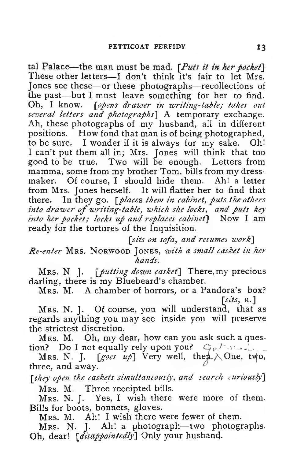tal Palace—the man must be mad.  $[Puts it in her pocket]$ <br>These other letters—I don't think it's fair to let Mrs. Jones see these—or these photographs—recollections of the past—but I must leave something for her to find. Oh, I know. [opens drawer in writing-table; takes out several letters and photographs] A temporary exchange. Ah, these photographs of my husband, all in different positions. How fond that man is of being photographed, to be sure. <sup>I</sup> wonder if it is always for my sake. Oh! <sup>I</sup> can't put them all in; Mrs. Jones will think that too good to be true. Two will be enough. Letters from mamma, some from my brother Tom, bills from my dress maker. Of course, I should hide them. from Mrs. Jones herself. It will flatter her to find that there. In they go.  $\int$  places them in cabinet, puts the others into drawer of writing-table, which she locks, and puts key into her pocket; locks up and replaces cabinet $]$  Now I am ready for the tortures of the Inquisition.

[sits on sofa, and resumes work]

Re-enter Mrs. Norwood Jones, with a small casket in her hands.

Mrs. N J. [putting down casket] There, my precious darling, there is my Bluebeard's chamber.

Mrs. M. A chamber of horrors, or <sup>a</sup> Pandora's box?  $[sits, R.]$ 

Mrs. N. J. Of course, you will understand, that as regards anything you may see inside you will preserve the strictest discretion.

Mrs. M. Oh, my dear, how can you ask such <sup>a</sup> question? Do I not equally rely upon you?  $\mathcal{Q}_{\rho}$ there  $\mathcal{L}$ .

Mrs. N. J. [goes up] Very well, then  $\wedge$  One, two, three, and away. ^

[they open the caskets simultaneously, and search curiously] Mrs. M. Three receipted bills.

Mrs. N. J. Yes, <sup>I</sup> wish there were more of them. Bills for boots, bonnets, gloves.

Mrs. M. Ah! <sup>I</sup> wish there were fewer of them.

Mrs. N. J. Ah! <sup>a</sup> photograph—two photographs. Oh, dear! [*disappointedly*] Only your husband.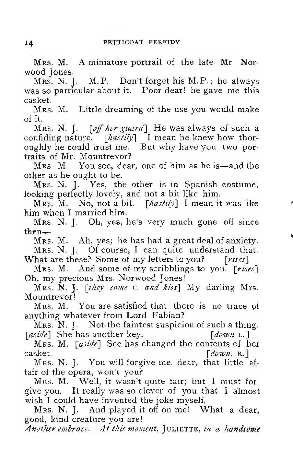Mrs. M. A miniature portrait of the late Mr Norwood Jones.<br>Mrs. N. J. M.P. Don't forget his M.P.; he always

was so particular about it. Poor dear! he gave me this casket.

Mrs. M. Little dreaming of the use you would make of it.

Mrs. N. J.  $[off\ her\ guard]$  He was always of such a confiding nature.  $\lceil$  hastily  $\rfloor$  I mean he knew how thoroughly he could trust me. But why have you two portraits of Mr. Mountrevor?

Mrs. M. You see, dear, one of him as he is—and the other as he ought to be.

Mrs. N. J. Yes, the other is in Spanish costume, looking perfectly lovely, and not a bit like him.

MRS. M. No, not a bit.  $[{\it hastily}]$  I mean it was like him when I married him.

Mrs. N. J. Oh, yes, he's very much gone off since then^

Mrs. M. Ah, yes; he has had a great deal of anxiety.

Mrs. N. J. Of course, I can quite understand that.<br>What are these? Some of my letters to you? [rises]

Mrs. M. And some of my scribblings to you. [rises] Oh, my precious Mrs. Norwood Jones!

Mrs. N. J. [they come c. and kiss] My darling Mrs. Mountrevor!

Mrs. M. You are satisfied that there is no trace of anything whatever from Lord Fabian?

Mrs. N. J. Not the faintest suspicion of such a thing.<br>sidel She has another key. [down L.] [ $aside$ ] She has another key.

Mrs. M. [aside] See has changed the contents of her casket.  $[down, \mathbf{R}]$ 

Mrs. N. J. You will forgive me, dear, that little af fair of the opera, won't you?

Mrs. M. Well, it wasn't quite fair; but <sup>I</sup> must for give you. It really was so clever of you that <sup>I</sup> almost wish I could have invented the joke myself.

Mrs. N. J. And played it off on me! What <sup>a</sup> dear, good, kind creature you are!

Another embrace. At this moment,  $\lceil \text{ULIETTE}, \text{in} \rceil$  a handsome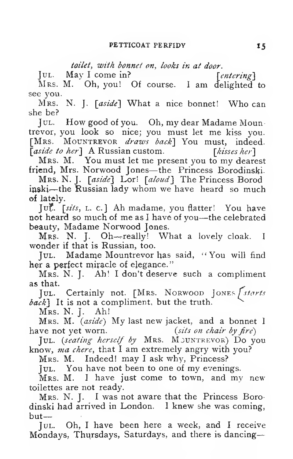toilet, with bonnet on, looks in at door.

 $\text{Jul. } \text{May I come in? } \text{[entering] }$ 

Mrs. M. Oh, you! Of course. <sup>1</sup> am delighted to see you.

Mrs. N. J. [aside] What a nice bonnet! Who can she be?

Jul. How good of you. Oh, my dear Madame Mountrevor, you look so nice; you must let me kiss you. [Mrs. MOUNTREVOR draws back] You must, indeed. [aside to her] A Russian custom. [kisses her]

Mrs. M. You must let me present you to my dearest friend, Mrs. Norwood Jones—the Princess Borodinski-

Mrs. N. J. [aside] Lor! [aloud] The Princess Borod inski—the Russian lady whom we have heard so much of lately.

Juf. [sits, L. c. <sup>j</sup> Ah madame, you flatter! You have not heard so much of me as <sup>I</sup> have of you—the celebrated beauty, Madame Norwood Jones.

Mrs- N. J. Oh—-really! What <sup>a</sup> lovely cloak. <sup>I</sup> wonder if that is Russian, too.

Jul. Madame Mountrevor has said, "You will find her a perfect miracle of elegance."

Mrs. N. J. Ah! <sup>I</sup> don't deserve such <sup>a</sup> compliment as that.

Jul. Certainly not. [Mrs. Norwood Jones *[starts*]  $\{back\}$  It is not a compliment, but the truth.

Mrs. N. J. Ah!

Mrs. M. *(aside)* My last new jacket, and a bonnet I ve not vet worn. *(sits on chair by fire)* have not yet worn.

Jul. (seating herself by Mrs. MOUNTREVOR) Do you know, ma chere, that I am extremely angry with you?

Mrs. M. Indeed! may <sup>I</sup> ask why. Princess?

Jul. You have not been to one of my evenings.

 $MRS$ . M. I have just come to town, and my new toilettes are not ready.

Mrs, N. J. <sup>I</sup> was not aware that the Princess Borodinski had arrived in London. <sup>I</sup> knew she was coming, but—

Jul. Oh, <sup>I</sup> have been here a week, and <sup>I</sup> receive Mondays, Thursdays, Saturdays, and there is dancing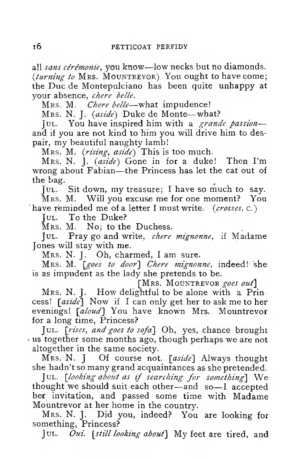all sans cérémonie, you know—low necks but no diamonds. (turning to MRS. MOUNTREVOR) You ought to have come; the Due de Montepulciano has been quite unhappy at your absence, chere belle.

Mrs. M. Chere belle—what impudence!

Mrs. N. J. (aside) Duke de Monte-what?

JUL. You have inspired him with a grande passionand if you are not kind to him you will drive him to despair, my beautiful naughty lamb!

Mrs. M. (rising, aside) This is too much.

Mrs. N. J. {aside) Gone in for <sup>a</sup> duke! Then I'm wrong about Fabian—the Princess has let the cat out of the bag.

Jul. Sit down, my treasure; <sup>I</sup> have so much to say. Mrs. M. Will you excuse me for one moment? You 'have reminded me of a letter I must write.  $(crosses, c.)$ 

JUL. To the Duke?

Mrs. M. No; to the Duchess.

Jul. Pray go and write, chere mignonne, if Madame Jones will stay with me.<br>MRS. N. J. Oh, charmed, I am sure.

Mrs. M. [goes to door] Chere mignonne, indeed! she is as impudent as the lady she pretends to be.

[Mrs. MOUNTREVOR goes out]

Mrs. N. J. How delightful to be alone with a Princess! [aside] Now if I can only get her to ask me to her evenings! [aloud] You have known Mrs. Mountrevor for a long time, Princess?

Jul. [rises, and goes to sofa] Oh, yes, chance brought • us together some months ago, though perhaps we are not altogether in the same society.

Mrs. N.  $\parallel$  Of course not. [aside] Always thought she hadn't so many grand acquaintances as she pretended.

Jul. [looking about as if searching for something] We thought we should suit each other—and so—<sup>I</sup> accepted her invitation, and passed some time with Madame Mountrevor at her home in the country.

Mrs. N. J. Did you, indeed? You are looking for something, Princess?

Jul. Oui. [still looking about] My feet are tired, and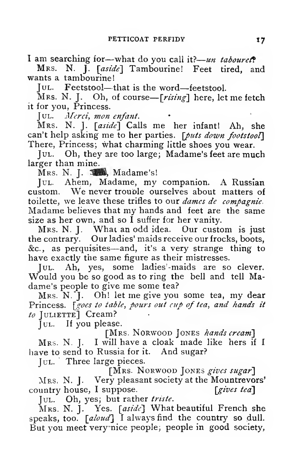I am searching for-what do you call it?-un taboured?

MRS. N. J. [aside] Tambourine! Feet tired, and wants a tambourine!

Iul. Feetstool—that is the word—feetstool.<br>Jul. Feetstool—that is the word—feetstool.<br>Mrs. N. J. Oh, of course—[*rising*] here, let me fetch it for you, Princess.

JUL. Merci, mon enfant.

Mrs. N. J.  $\lceil \text{aside} \rceil$  Calls me her infant! Ah, she can't help asking me to her parties. [puts down footstool] There, Princess; what charming little shoes you wear.

Jul. Oh, they are too large; Madame's feet are much larger than mine.

Mrs. N. J. 32, Madame's!

Jul. Ahem, Madame, my companion. A Russian custom. We never trouble ourselves about matters of toilette, we leave these trifles to our dames de compagnie. Madame believes that my hands and feet are the same size as her own, and so <sup>I</sup> suffer for her vanity.

Mrs. N. J. What an odd idea. Our custom is just the contrary. Our ladies' maids receive our frocks, boots, &c., as perquisites—and, it's <sup>a</sup> very strange thing to have exactly the same figure as their mistresses.

Would you be so good as to ring the bell and tell Madame's people to give me some tea?

Mrs. N.'J. Oh! let me give you some tea, my dear Princess. *Sgoes to table, pours out cup of tea, and hands it*  $to$  JULIETTE] Cream?

Jul. If you please.

[MRS. NORWOOD JONES hands cream]

Mrs. N. J. <sup>I</sup> will have <sup>a</sup> cloak made like hers if <sup>I</sup> have to send to Russia for it. And sugar?

Jul. Three large pieces.

[MRS. NORWOOD JONES gives sugar] Mrs. N. J. Very pleasant society at the Mountrevors'<br>untry house, I suppose. [gives tea] country house,  $I$  suppose.

JUL. Oh, yes; but rather triste.

Mrs. N. J. Yes.  $[aside]$  What beautiful French she speaks, too.  $\lceil$ aloud] I always find the country so dull. But you meet verynice people, people in good society,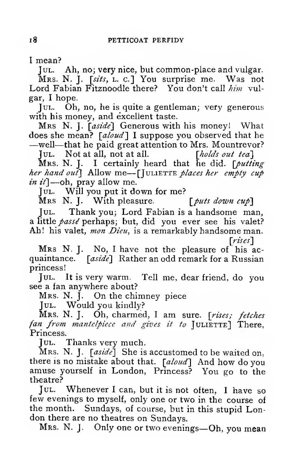<sup>I</sup> mean?

JUL. Ah, no; very nice, but common-place and vulgar.

Mrs. N. J. [sits, L. c.] You surprise me. Was not<br>Lord Fabian Fitznoodle there? You don't call him vulgar, <sup>I</sup> hope.

Jul. Oh, no, he is quite a gentleman; very generous with his money, and excellent taste.

Mrs N. J.  $[aside]$  Generous with his money! What does she mean?  $[als]$  I suppose you observed that he

does she means that he paid great attention to Mrs. Mountrevor?<br>
Jul. Not at all, not at all. [holds out tea] Jul. Not at all, not at all.

Mrs. N. J. I certainly heard that he did.  $\int$  *putting* her hand out] Allow me—[JULIETTE places her empty cup *in it*] —oh, pray allow me.

Jul. Will you put it down for me?<br>Mrs N. J. With pleasure. [*puts down cup*]

Mrs N. J. With pleasure.<br>JUL. Thank you: Lord Fa

Thank you; Lord Fabian is a handsome man, a little passe perhaps; but, did you ever see his valet? Ah! his valet, mon Dieu, is a remarkably handsome man.

[rises]

Mrs N. J. No, <sup>I</sup> have not the pleasure of his ac quaintance. [aside] Rather an odd remark for a Russian princess!

Jul. It is very warm. Tell me, dear friend, do you see a fan anywhere about?

Mrs. N. J. On the chimney piece

Jul. Would you kindly?

Mrs. N. J. Oh, charmed, I am sure. [rises; fetches fan from mantelpiece and gives it to JULIETTE] There, Princess.

Jul. Thanks very much.

Mrs. N. J.  $[aside]$  She is accustomed to be waited on. there is no mistake about that. [aloud] And how do you amuse yourself in London, Princess? You go to the theatre?

Jul. Whenever <sup>I</sup> can, but it is not often, <sup>I</sup> have so few evenings to myself, only one or two in the course of the month. Sundays, of course, but in this stupid London there are no theatres on Sundays.

Mrs. N. J. Only one or two evenings—Oh, you mean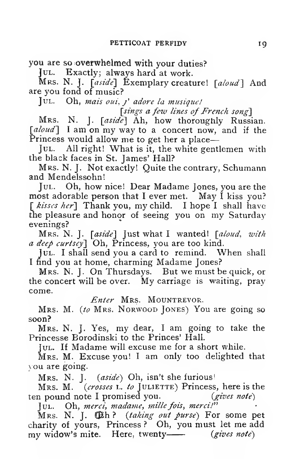you are so overwhelmed with your duties?

Jul. Exactly; always hard at work.

Mrs. N. J.  $[aside]$  Exemplary creature!  $[abud]$  And are you fond of music?

Jul. Oh, mais out, j' adore la musique!

[sings a few lines of French song]

Mrs. N. J. [aside] Ah, how thoroughly Russian. [aloud] I am on my way to a concert now, and if the Princess would allow me to get her <sup>a</sup> place

JUL. All right! What is it, the white gentlemen with the black faces in St. James' Hall?

Mrs. N. J. Not exactly! Quite the contrary, Schumann and Mendelssohn!

Jul. Oh, how nice! Dear Madame Jones, you are the most adorable person that I ever met. May I kiss you? [ kisses her] Thank you, my child. I hope I shall have the pleasure and honor of seeing you on my Saturday evenings?

Mrs. N. J. [aside] Just what I wanted! [aloud, with a deep curtsey] Oh, Princess, you are too kind.

JUL. I shall send you a card to remind. When shall <sup>I</sup> find you at home, charming Madame Jones?

Mrs. N. J. On Thursdays. But we must be quick, or the concert will be over. My carriage is waiting, pray come.

Enter MRS. MOUNTREVOR.

Mrs. M. (to Mrs. Norwood Jones) You are going so soon?

Mrs. N. J. Yes, my dear, <sup>I</sup> am going to take the Princesse Borodinski to the Princes' Hall.

Jul. If Madame will excuse me for <sup>a</sup> short while.

Mrs. M. Excuse you! <sup>I</sup> am only too delighted that \ ou are going.

Mrs. N. J. *(aside)* Oh, isn't she furious!<br>Mrs. M. *(crosses L. to* JULIETTE) Princess, here is the<br>a pound note I promised vou. *(gives note)* ten pound note I promised you.

Jul. Oh, merci, madame, mille fois, merci!"

Mrs. N. J.  $\times$   $h$ ? (taking out purse) For some pet charity of yours. Princess ? Oh, you must let me add my widow's mite. Here, twenty— $(gives note)$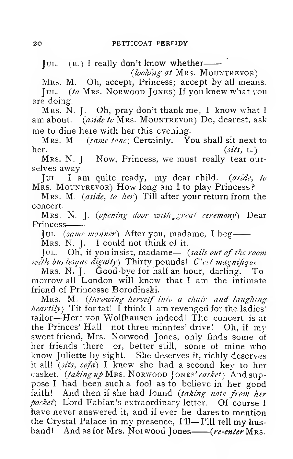JUL. (R.) I really don't know whether-

(looking at Mrs. MOUNTREVOR)

Mrs. M. Oh, accept, Princess; accept by all means. JUL. (to Mrs. Norwood JONES) If you knew what you

are doing.<br>Mrs. N. J. Oh, pray don't thank me; I know what I am about. *(aside to* Mrs. Mountrevor) Do, dearest, ask me to dine here with her this evening.

Mrs. M  $(same tonc)$  Certainly. You shall sit next to her.  $(sits, L.)$ 

Mrs. N. J. Now, Princess, we must really tear ourselves away,

Jul. <sup>I</sup> am quite ready, my dear child, (aside, to MRS. MOUNTREVOR) How long am I to play Princess?

Mrs. M. *(aside, to her)* Till after your return from the concert.

Mrs. N. J. (opening door with great ceremony) Dear Princess

Jul. (same manner) After you, madame, I beg-Mrs. N. J. I could not think of it.

Jul. Oh, if you insist, madame— (sails out of the room with burlesque dignity) Thirty pounds!  $C'est\ magnitude$ 

Mrs. N. J. Good-bye for half an hour, darling. To- morrow all London will know that <sup>I</sup> am the intimate friend of Princesse Borodinski.

Mrs. M. (throwing herself into a chair and laughing *heartily*) Tit for tat! I think I am revenged for the ladies<sup>'</sup> tailor —Herr von Wolfhausen indeed! The concert is at the Princes' Hall—not three minntes' drivel Oh, if my sweet friend, Mrs. Norwood Jones, only finds some of her friends there—or, better still, some of mine who know Juliette by sight. She deserves it, richly deserves it all! (sits, sofa) <sup>I</sup> knew she had a second key to her casket. (taking up Mrs. Norwood Jones' casket) And suppose <sup>I</sup> had been such a fool as to believe in her good faith! And then if she had found (taking note from her pocket) Lord Fabian's extraordinary letter. Of course 1 have never answered it, and if ever he dares to mention the Crystal Palace in my presence, I'll—I'lll tell my husband! And as for Mrs. Norwood Jones— $(re\text{-}enter\,M\text{Rs}.$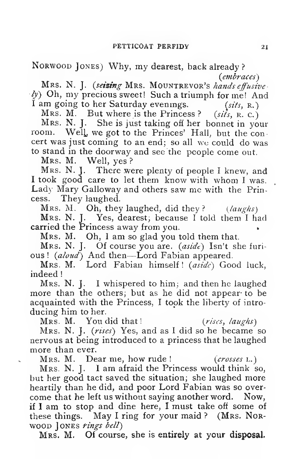Norwood Jones) Why, my dearest, back already?

{embraces) Mrs. N. J. (seizing Mrs. MOUNTREVOR's hands effusive  $\langle \psi \rangle$  Oh, my precious sweet! Such a triumph for me! And I am going to her Saturday evenings.  $(sits, R.)$ 

Mrs. M. But where is the Princess?  $(sii\ s, R. c.)$ 

Mrs. N. J. She is just taking off her bonnet in your room. Weli, we got to the Princes' Hall, but the con cert was just coming to an end; so all we could do was to stand in the doorway and see the people come out.

Mrs. M. Well, yes ?

Mrs. N. J. There were plenty of people <sup>I</sup> knew, and <sup>I</sup> took good care to let them know with whom <sup>I</sup> was. Lady Mary Galloway and others saw me with the Princess. They laughed.

Mrs. M. Oh, they laughed, did they?  $(laughs)$ Mrs. N. J. Yes, dearest, because <sup>I</sup> told them <sup>I</sup> had carried the Princess away from you.

Mrs. M. Oh, <sup>I</sup> am so glad you told them that.

Mrs. N. J. Of course you are.  $(asid\epsilon)$  Isn't she furious! (aloud) And then—Lord Fabian appeared.

Mrs. M. Lord Fabian himself! (aside) Good luck, indeed

Mrs. N. J. <sup>I</sup> whispered to him; and then he laughed more than the others; but as he did not appear- to be acquainted with the Princess, <sup>I</sup> took the liberty of intro ducing him to her.

{rises, laughs)

Mrs. M. You did that! (rises, laughs)<br>Mrs. N. J. (rises) Yes, and as I did so he became so nervous at being introduced to a princess that he laughed more than ever.

Mrs. M. Dear me, how rude !  $(crosses L.)$ 

Mrs. N. J. I am afraid the Princess would think so, but her good tact saved the situation; she laughed more heartily than he did, and poor Lord Fabian was so over come that he left us without saying another word. Now, if <sup>I</sup> am to stop and dine here, <sup>I</sup> must take off some of these things. May I ring for your maid ? (Mrs. Norwood JONES rings bell)

Mrs, M. Of course, she is entirely at your disposal.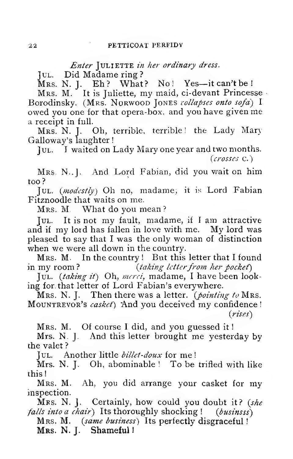## Enter JULIETTE in her ordinary dress.

Jul. Did Madame ring ?<br>Mrs. N. J. Eh ? What ? No! Yes--it can't be ! Mrs. M. It is Juliette, my maid, ci-devant Princesse Borodinsky. (MRS. NORWOOD JONES collapses onto sofa) I owed you one for that opera-box, and you have given me a receipt in full.

Mrs. N. J. Oh, terrible, terrible! the Lady Mary Galloway's laughter

Jul. <sup>I</sup> waited on Lady Mary one year and two months.

(crosses c.)

Mrs. N..J. And Lord Fabian, did you wait on him too?

JUL.  $(modestlv)$  Oh no, madame, it is Lord Fabian Fitznoodle that waits on me.

Mrs. M, What do you mean?

Jul. It is not my fault, madame, if <sup>I</sup> am attractive and if my lord has fallen in love with me. My lord was pleased to say that <sup>I</sup> was the only woman of distinction when we were all down in the country.

Mrs. M. In the country ! But this letter that <sup>I</sup> found in my room? (taking letter from her pocket)

Jul.  $(taking it)$  Oh, merci, madame, I have been looking for. that letter of Lord Fabian's everywhere.

Mrs. N. J. Then there was a letter. (*pointing to* Mrs. MOUNTREVOR's *casket*) And you deceived my confidence ! {rises)

Mrs. M. Of course I did, and you guessed it!

Mrs. N. J. And this letter brought me yesterday by the valet ?

Jul. Another little *billet-doux* for me!

Mrs. N. J. Oh, abominable ! To be trifled with like this!

Mrs. M. Ah, you did arrange your casket for my inspection.

Mrs. N. J. Certainly, how could you doubt it? (she<br>*lls into a chair*) Its thoroughly shocking! (businsss) falls into a chair) Its thoroughly shocking !

Mrs. M. (same business) Its perfectly disgraceful!

Mrs. N. J. Shameful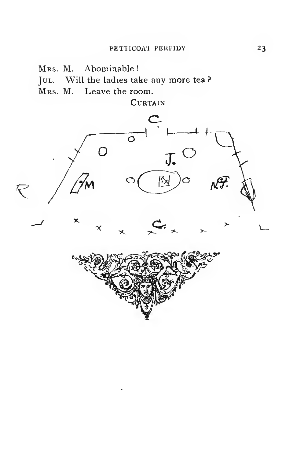Mrs. M. Abominable!

JUL. Will the ladies take any more tea?

Mrs. M. Leave the room.

**CURTAIN** 



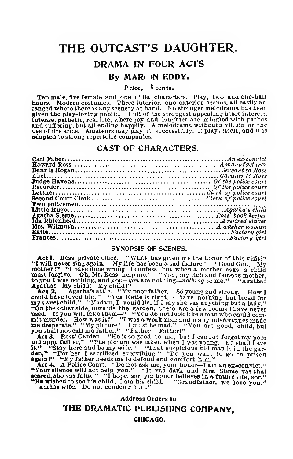## THE OUTCAST'S DAUGHTER.

#### DRAMA IN FOUR ACTS

#### By MARi IN EDDY.

#### Price, cents.

Ten male, five female and one child characters. Play, two and one-half<br>hours. Modern costumes. Three iteretior, one exterior scenes, all easily ar-<br>ranged where there is any scenery at hand. No stronger melodrama has been<br> use of fire arms. Amateurs may play it successfully, it plays Itself, and It is adapted to strong repertoire companies.

#### CAST OF CHARACTERS.

#### SYNOPSIS OP SCENES.

Act I. Ross' private office. "What has given me the honor of this visit?"<br>"I will never sing again. My life has been a sad failure." , 'Good God! My motherl" "I have done wrong, <sup>I</sup> confess, but when <sup>a</sup> mother asks, <sup>a</sup> child must forgive. Oh, Mr. Ross, help me." "You, my rich and famous mother, to you I was nothing, and you—you are nothing—nodaing to me." "Agatha!<br>Agathal My child! My child!"<br>**Act 2...** Agatha's attic., "My poor father. So young and strong. How I

could have loved him." "Yes, Katie is right. I have nothing but bread for<br>my sweet child." "Madam, I vouid lie, if I say she vas auything but a lady."<br>"On the other side, towards the garden, there are a few rooms I have ne

mit murder. How was it!" "I was a weak man and many misfortunes made<br>me despende." "My picture! I must be mad." "You are good, child, but<br>you shall not call me father." "Father! Father!"<br>Act 3. Ross' Garden, "He is so good

**scared, she vas faint." "I hope, sor, yer honor believes in a future life, sor."**<br>"**He wished to see his child; I am his child." "Grandfather, we love you."**<br>"**am his wife.** Do not condemn him."

Address Orders to

#### THE DRAMATIC PUBLISHING COMPANY.

#### CHICAQO.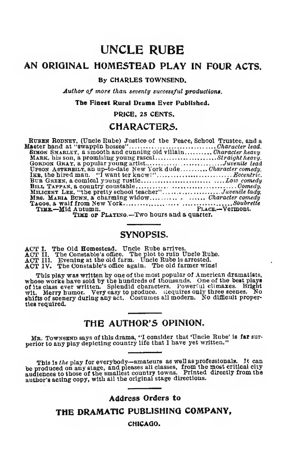## UNCLE RUBE

### AN ORIGINAL HOMESTEAD PLAY IN FOUR ACTS.

#### By CHARLES TOWNSEND.

Author of more than seventy successful productions.

The Finest Rural Drama Ever Published.

PRICE, 2S CENTS.

#### CHARACTERS.

| RUBEN RODNEY, (Uncle Rube) Justice of the Peace, School Trustee, and a |
|------------------------------------------------------------------------|
|                                                                        |
| SIMON SMARLET. a smooth and cunning old villainCharacter heavy.        |
| MARK, his son, a promising young rascalStraight heavy.                 |
| GORDON GRAY, a popular young artistJuvenile lead                       |
| UPSON ASTERBILT. an up-to-date New York dudeCharacter comedy.          |
|                                                                        |
|                                                                        |
|                                                                        |
| MILICENT LEE, "the pretty school teacher"Juvenile tady.                |
| MRS. MARIA BUNN, a charming widow Character comedy                     |
|                                                                        |
| PLACE.-Vermont.<br>TIME-Mid Autumn. PLACE.-Ve                          |
|                                                                        |

TIME OF  $PLAYING$ —Two hours and a quarter.

#### SYNOPSIS.

ACT II. The Old Homestead. Uncle Rube arrives.<br>ACT II. The Constable's office. The plot to ruin Uncle Rube.<br>ACT III. Evening at the old farm. Uncle Rube is arrested.<br>ACT IV. The Constable's office again. The old farmer win

This play was written by one of the most popular of American dramatiats, whose works have been blue whose works of its constant plays of its class ever written. Splendid characters. Powerful climares. Bright wit. Merry hum ties required.

## THE AUTHOR'S OPINION.

Mb. Townsend says of this drama, "I consider that 'Uncle Rube' Is far sur- perlor to any play depicting country life that <sup>I</sup> have yet written."

This is the play for everybody—amateurs as well as professionals. It can be produced on any stage, and pleases all classes, from the most critical city<br>audiences to those of the smallest country towns. Printed directly from the<br>author's acting copy, with all the original stage directions.

#### Address Orders to

THE DRAMATIC PUBLISHINQ COMPANY,

CHICAQO.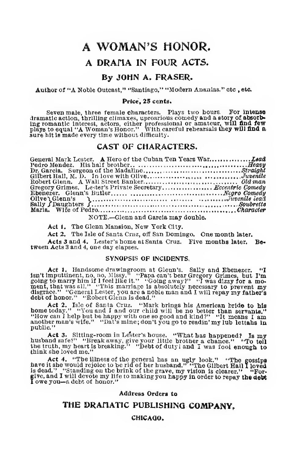# A WOMAN'S HONOR. A DRAHA IN FOUR ACTS.

#### By JOHN A. FRASER.

Author of "A Noble Outcast," "Santiago," "Modern Ananias." etc , etc.

#### Price, 25 cents.

Seven male, three female characters. Plays two hours. For intense<br>dramatic action, thrilling climaxes, upcarious comedy and a story of absorb-<br>ing romantic interest, actors, either professional or amateur, will find few<br>pl sure hit is made every time without difficulty.

#### CAST OF CHARACTERS.

| Dr. Garcia. Surgeon of the MadalineStraight                 |
|-------------------------------------------------------------|
|                                                             |
|                                                             |
| Gregory Grimes. Lester's Private Secretary Eccentric Comedy |
|                                                             |
|                                                             |
|                                                             |
|                                                             |
| NOTE.-Glenn and Garcia may double.                          |

Act 1. The Glenn Mansion, New York City.

Act 2. The Isle of Santa Cruz, off San Domingo. One month later.

Acts <sup>3</sup> and 4. Lester's home at Santa Cruz. Five months later. Be- tween Acts <sup>3</sup> and 4, one day elapses.

#### SYNOPSIS OF INCIDENTS.

Act 1. Handsome drawing<br>room at Glenn's. Sally and Ebenezer. "I may it imputtinent, no, no, Missy." "Papa can't bear Gregory Grimes, but I'm<br>going to marry him if  $1$  feel like it." "Going away?" "I was dizzy for a mo-<br>men

Act 2. Isle of Santa Cruz. "Mark brings his American bride to his<br>home today." "You and I and our child will be no better than servants."<br>"How can I help but be happy with one so good and kind?" "It means I am<br>another man public."

Act 3. Sitting-room in Lester's house. "What has happened? Is my<br>husband asfe?" "Break away, give your little brother a chance." "To tell<br>the truth, my heart is breaking." "Debt of dutyl and I was fool enough to<br>think she

Act 4. "The iness of the general has an ugly look." "The gossips<br>have it she would rejoice to be rid of her husband." "The Gilbert Haill loved<br>is dead." "Standing on the brink of the grave, my vision is clearer." "For-<br>gi

Address Orders to

#### THE DRAnATIC PUBLISHING COMPANY,

#### CHlCAaO.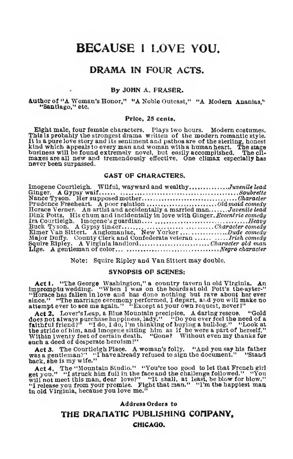## BECAUSE <sup>I</sup> LOVE YOU.

#### DRAMA IN FOUR ACTS.

#### By JOHN A. FRASER.

Author of "A Woman's Honor," "A Noble Outcast," "A Modem Ananias," "Santiago," etc.

#### Price, 25 cents.

Eight male, four female characters. Plays two hours. Modern costumes. This Is probably the strongest drama written of the modern romantic style. Final spheriors story and its sentiment and pathos are of the aterling, honest<br>It is a pure love story and its sentiment and varian with a human heart. The stage<br>business will be found extremaly novel, but easily accomplis

#### CAST OP CHARACTERS.

Imogene Courtleigh. Wilful, wayward and wealthy Juvenile lead Ginger. <sup>A</sup> Gypsy waif Soubreite Nance Tyson. Her supposed mother Character Prudence Freeheart. <sup>A</sup> poor relation Old maid comedy Horace Verner. An artist and accidentally <sup>a</sup> married man Juvenile lead Dinl^ Potts. His chum and incidentally in love with Ginger. Eccentric comedy Ira Courtleigh. Imogene's guardian Heavy Buck Tyson. <sup>A</sup> Gypsy timber Character comedy Elmer Van Slttert. Anglomauiac, New Yorker ..Dude comedy Major Duflfy. County Clerk and Confederate veteran Irish comedy Squire Eipley. A Virginia landlord Character old man Llge. A gentleman of color Negro character

Note: Squire Eipley and Van Sittert may double.

#### SYNOPSIS OF SCENES:

Act 1. "The George Washington," a country tavern in old Virginia. An increase and the explanation of the boards in the order of the order in order in the system in the system in the system in the system in the system in th

Act 2. Lover'sLeap, <sup>a</sup> Blue Mountain precipice. A daring rescue. "Gold does not always purchase happiness, lady,"<br>
income of the need of a happiness, lady,"<br>
income of the stride of the stride of the stride of the stride of him, and lmogene sitting him as if he were a part of herself."<br>
Withi Within I wenty feet of certain death. "Gone? Without even my thanks for<br>
Act 3. The Courtleigh Place. A woman's folly. "And you say his father<br>was a gentleman?' "I have already refused to sign the document." "Stand

back, she is my wife."

Act 4. The "Mountain Studio." "You're too good to let that French girls you." "I struck him full in the face and the challenge followed." "You will not meet this man, dear love?" "It shall, at least, be blow for blow."<br>"I

Address Orders to THE DRAMATIC PUBLISHING COMPANY, CHICAaO.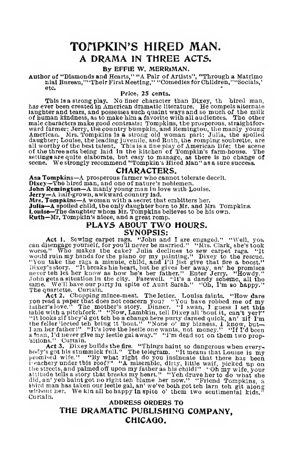## TOMPKIN'S HIRED MAN. A DRAMA IN THREE ACTS.

#### By EPFIE W. MERRiMAN.

Author of "Diamonds and Hearts," "A Pair of Artists", "Through a Matrimo<br>nial Bureau,""Their First Meeting," "Comedies for Children,""Socials,' etc.

Price, 25 cents.

This is a strong play. No tiner character than Dixey, th bired man.<br>has ever been created in American dramatic literature. He compels alternate<br>laughter and tears, and possesses such quaint ways and so much of the milk of human kindness, as to make him a favorite with all audiences. The other<br>male charactera make good contrasts: Tompkins, the prosperous, straightfor-<br>ward farmer; Jerry, the country bumpkin, and Remingtou, the manly young American. Mrs. Tompkins Is a strong old woman part; Julia, the spoiled<br>daughter; Louise, the leading juvenile, and Ruth, the romping soubrette, are<br>all worthy of the best talent. This is a fine play of American life; the s

 $\textbf{CHARACTERS.} \begin{minipage}{0.9\textwidth} \textbf{A}\textbf{sa Tomplkins} & \textbf{CHARACTERS.} \end{minipage} \begin{minipage}{0.9\textwidth} \begin{minipage}{0.9\textwidth} \textbf{Chay-The hired man, and one of nature's noble.} \end{minipage} \begin{minipage}{0.9\textwidth} \begin{minipage}{0.9\textwidth} \textbf{A half-grown, a wkward country had.} \end{minipage} \begin{minipage}{0.9\textwidth} \begin{minipage}{0.9\textwidth} \textbf{A half-grown, a wkward country had.} \end{minipage} \end{minipage$ 

# Louise—The daughter whom Mr. Tompkins believes to be his own.<br>Ruth—Mr, Tompkin's niece, and a great romp.<br>PLAYS ABOUT TWO HOURS.<br>SYNOPSIS:

**SYNOPSIS:**<br> **Act 1.** Sewing carpet rags. "John and I are engaged." "Well, you<br>
can disengage yourself, for you'll never be married." "Mrs. Clark, she's took<br>
worse." Who makes the cake? Julia declines to sew carpet rags. John gets a situation in the city. Farewell. "It's a dandy scheme, all the same. We'll have our party in spite of Aunt Sarah." "Oh, I'm so happy."

same. We'll have our party in spite of Aunt Sarah." "Oh, I'm so happy."<br>The quartette. Curtain.<br>The Act 2. Chopping mince-meat. The letter. Louisa faints. "How dare<br>you read a paper that does not concern you? "You have rob "It looks zif they'd got teh be a change here purty darned quick, an' zif Tm<br>the feller 'lected teh bring it 'bout.'' "None o' my bizness, I know, but—<br>I am her father !'' "It's love the lectle one wants, not money.'' "It

'sitions.'' Curtain.<br>
Act 3. Dixey builds the fire. "Things haint so dangerons when every-<br>
body's got his stummlek full." The telegram. "It means that Louise is my<br>
promised wife." "By what right do you insimuate that th

Curtain. ADDRESS ORDERS TO THE DRAMATIC PUBLISHING COMPANY, CHICAQO.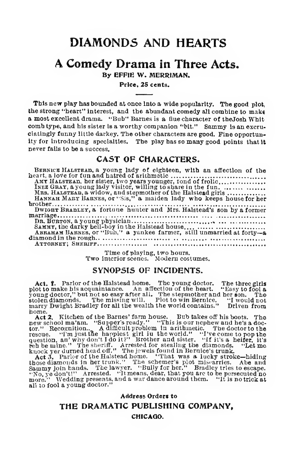## DIAMONDS AND HEARTS

# A Comedy Drama in Three Acts.

By EFFIE W. MERRIMAN.

#### Price, 25 cents.

This new play has bounded at once into a wide popularity. The good plot, the strong "heart" interest, and the abundant comedy all combine to make a most excellent drama. "Bub" Barnes is a flue character of thejosh Whit comb type, and his sister is a worthy companion "bit." Sammy Is an excruciatingly funny little darkey. The other characters are good. Fine opportunity for introducing specialties. The play has so many good points that It nerer fails to be a success.

#### CAST OF CHARACTERS.

| BERNICE HALSTEAN, a young lady of eighteen, with an affection of the  |
|-----------------------------------------------------------------------|
|                                                                       |
| AMY HALSTEAN, her sister, two years younger, fond of frolic,          |
| INEZ GRAY, a young lady visitor, willing to share in the fun.         |
| MRS. HALSTEAD, a widow, and stepmother of the Halstead girls          |
| HANNAH MARY BARNES, or "Sis," a maiden lady who keeps house for her   |
|                                                                       |
| DWIGHT BRADLEY, a fortune hunter and Mrs. Halstead's son by a former  |
|                                                                       |
|                                                                       |
| SAMMY, the darky bell-boy in the Halstead house                       |
| ABRAHAM BARNES, or "Buh," a yankee farmer, still unmarried at forty-a |
|                                                                       |
|                                                                       |
|                                                                       |

Time of playing, two hours. Two interior scenes. Modern costumes.

#### SYNOPSIS OF INCIDENTS.

Act. f. Parlor of the Halstead home. The young doctor. The three girls<br>plot to make his acquaintance. An affection of the heart. "Easy to fool a plot to make his acquaintance. An afEection of the heart. "Easy to fool <sup>a</sup> young doctor," but not so easy after all. The stepmother and her eon. The stolen diamonds. The missing will. Plot to win Bernice. "I would not marry Dwight Bradley for all the wealth the world contains." Driven from

home.<br>
Act 2. Kitchen of the Barnes' farm house. Bub takes off his boots. The<br>
new school ma'am. "Supper's ready." "This is our nephew and he's a doc-<br>
tor." Recognition... A difficult problem in arithmetic. The doctor to

knock yer durned head off." The jewels found in Bernice's trunk.<br>
Act 3. Parlor of the Halstead home. "That was a lucky stroke—hiding<br>
those diamonds in her trunk." The schemer's plot mis-arries. Abe and<br>
Sammy join hands. all to fool a young doctor."

Address Orders to

#### THE DRAMATIC PUBLISHINQ COMPANY,

CHICAGO.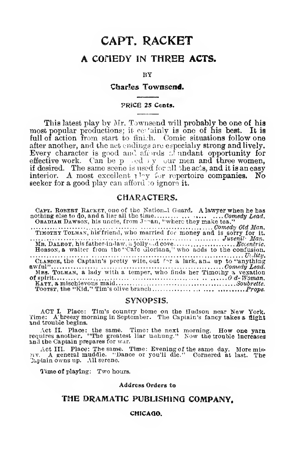## CAPT. RACKET A COHEDY IN THREE ACTS.

BY

#### Char!es Townsend.

#### PRICB 25 Cents.

This latest play by Mr. Townsend will probably be one of his most popular productions; it certainly is one of his best. It is<br>full of action from start to fini.:li. Comic situations follow one after another, and the act endings are especially strong and lively. Every character is good and all reds of undant opportunity for effective work. Can be perfective women, if desired. The same scene is used for all the acts, and it is an easy interior. A most excellent play for repertoire companies. No seeker for a good play can afford to ignore it.

#### CHARACTERS.

CiPT. ROBBHT Racket, one of the Nation\_l Gcmrd. <sup>A</sup> lawyer when he has nothing else to do, and <sup>a</sup> liar all the time , Comedy Lead. Obadiah Dawson, his uncle, from J-'^an, "where they make tea.\*'

Corman Corporation Corporation Corporation Corporation Corporation Old Man, Timoth Toldman, his friend, who married for it. Juvenil Man.<br>Timother Tolman, his friend, who married for money and its sorry for it. Juvenil Man. Me. DALBOT, his father-in-law, a jolly --decove Eccentric. However, his father-in-law, a jolly --decovered to the confusion.<br>HoBaoN, a waiter from the "Cafe Gloriana," who adds to the confusion. CLARICE, the Captain's pretty wife, out for a lark, and up to "anything" Claeice, the Captain's pretty wile, out f^r <sup>a</sup> lark, an^i up to "anything awful" Comedy Lead. Mb3. Tolman, <sup>a</sup> lady with <sup>a</sup> temper, who finds her Timothy <sup>a</sup> vexation ofsplrlt '.0-d-Woman. Katt, <sup>a</sup> mischievous maid Soubrette. TooTST, the "Kid." Tim's olive branch Props.

#### SYNOPSIS.

ACT I. Place: Tim's country home on the Hudson near New York.<br>Time: A breezy morning in September. The Captain's fancy takes a flight<br>and trouble begins.

Act II. Place: the same. Time: the next morning. How one yarn<br>requires another. "The greatest liar unhung." Now the trouble Increases<br>and the Captain prepares for war.

Act III. Place: The same. Time: Evening of the same day. More mis-<br>avv. A general muddle. "Dance or you'll die." Cornered at last. The 'Japtain owns up. . All serene.

1'ime of playing: Two hours.

#### Address Orders to

#### THE DRAMATIC PUBLISHING COMPANY,

#### CHICAQO.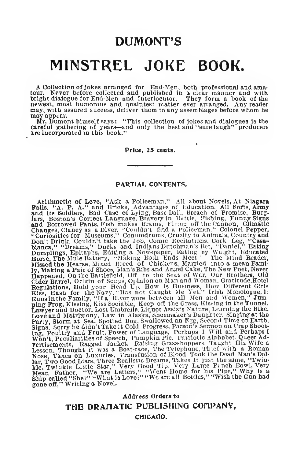## DUMONT'S

## MINSTREL JOKE BOOK.

A Collection of jokes arranged for End-JIen, both professional and amateur. Never before collected and published in a clear manner and with bright dialogue for End-Nen and Interlocutor. They form a book of the newst, most humorous and qualitiest matter ever arranged. Any reader may, with assured success, deliver them to any assemblages before whom he may appea

careful gathering of years—and only the best and "sure laugh" producers ire incorporated in this book."

#### Price, 25 cents.

#### PARTIAL CONTENTS.

Arithmetic of Love, "Ask a Policeman," All about Novels, At Ni**agara**<br>Falls, "A. P. A." and Bricks, Advantages of Education, All Sorts, Army<br>and its Soldiers, Bad Case of Lying, Base Ball, Breach of Promise, Burglars, Boston's Correct Language, Bravery in Battle, Fishing, Funny Signs and Borrowed Pants, Fish makes Brains, Firing of the Canon, Climatic Changes, Clancy as a Diver, "Couldn't find a Police-man," Colorel Pepper, "Curio ing, Poultry and Fruit, Power of Language, Perhaps 1 Will and Perhaps 1 Won't, Peculiarities of Speech, Pumpkin Pie, Pumpkin Steffenents, Ragged Jacket, Raising Grass-hoppers. Taught His Wife a Lesson, Thought it was a Boa Ship called "She?" "What is Love?" "We are all Bottles," "'Wish the Gun had gone off," Writing <sup>a</sup> Novel. Li

> Address Orders to THE DRAMATIC PUBLISHING COMPANY, CHICAGO.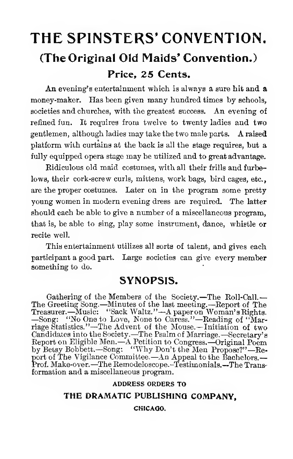# THE SPINSTERS' CONVENTION. (The Original 0!d Maids' Convention.) Price, 25 Cents.

An evening's entertainment which is always a sure hit and a money-maker. Has been given many hundred times by schools, societies and churches, with the greatest success. An evening of refined fun. It requires from twelve to twenty ladies and two gentlemen, although ladies may take the two male parts. A raised platform with curtains at the back is all the stage requires, but a fully equipped opera stage may be utilized and to great advantage.

Eidiculous old maid costumes, with all their frills and furbelows, their cork-screw curls, mittens, work bags, bird cages, etc., are the proper costumes. Later on in the program some pretty young women in modern evening dress are required. The latter should each be able to give a number of a miscellaneous program, that is, be able to sing, play some instrument, dance, whistle or recite well.

This entertainment utilizes all sorts of talent, and gives each participant a good part. Large societies can give every member something to do.

## SYNOPSIS.

Gathering of the Members of the Society.-The Roll-Call.-The Greeting Song. —Minutes of the last meeting.—Eeport of The Treasurer. —Music: "Sack Waltz."—Apaperon Woman's Rights. —Song: "No One to Love, None to Caress." —Reading of "Marriage Statistics."—The Advent of the Mouse. —Initiation of two Candidates into the Society. —The Psalm of Marriage. —Secretary's Eeport on Eligible Men.—A Petition to Congress. —Original Poem by Betsy Bobbett.—Song: "Why Don't the Men Propose?"—Report of The Vigilance Committee. —An Appeal to the Bachelors. Prof. Make-over. —The Eemodeloscope.-Testimonials.—The Trans- formation and <sup>a</sup> miscellaneous program.

#### ADDRESS ORDERS TO

### THE DRAMATIC PUBLISHINQ COMPANY,

#### CKICAQO.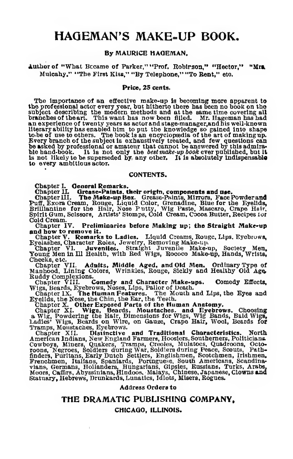## HAQEMAN'S MAKE-UP BOOK.

#### By MAURICE HAQEMAN.

#### Author of "What Became of Parker," "Prof. Robirson." "Hector." "Mrs. Muloahy," "The First Kiss," "By Telephone," "To Bent," etc.

#### Price, 25 cents.

The Importance of an effective make-up is becoming more apparent to the professional actor every year, but hitherto there has been no book on the subject describing the modern methods and at the same time covering all<br>branches of theart. This want has now been filled. Mr. Hageman has had<br>an experience of twenty years as actor and stage-manager,and his well-known literary ability has enabled him to put the knowledge so gained into shape<br>to be of use to others. The book is an encyclopadia of the art of making up.<br>Every branch of the subject is exhaustively treated, and few questions ble hand-book. It is not only the *best make-up book* ever published, but it It Is not likely to be superseded by any other. It is absolutely indispensabl**e** to every ambitious actor.

#### CONTENTS.

Chapter I. General Remarks.<br>Chapter II. Grease-Paints, their origin, components and use.<br>Chapter III. The Make-up Box. Grease-Painta, Mirrors, Face Powder and<br>Priff, Exora Cream, Rouge, Liquid Color, Grenadine, Blue for th Spirit Gum, Scissors, Artists' Stomps, Cold Cream, Cocoa Butter, Recipes ior<br>Cold Cream.<br>Chapter IV. Preliminaries before Making up; **the Straight Make-up** 

and how to remove it.<br>Chapter V. Remarks to Ladies. Liquid Creams, Rouge, Lips. Eyebrows,<br>Eyelashes, Character Roies, Jeweiry, Removing Make-up.<br>Chapter VI. Juveniles. Straight Juvenile Make-up, Society Men,<br>Young Men in I

Cheeks, etc.<br>Chapter VII. Adults, Middle Aged, and Old Men. Ordinary Type of<br>Manhood, Lining Colors, Wrinkles, Rouge, Sickly and Healthy Old Age

Ruddy Complexions.<br>Chapter VIII. Chapter VIII. Comedy and Character Make-ups. Comedy Effects, Wigs, Beards, Eyebrows, Noses, Lips, Pallor of Death.<br>Chapter IX. The Human Features. The Mouth and Lips, the Eyes and Chapter IX. The Human Features. The Mouth

Eyelids, the Nose, the Chin, the Ear, the Teeth.<br>Chapter X. Other Exposed Parts of the Human Anatomy.

Chapter XI. Wigs, Beards, Moustaches, and Eyebrows. Choosing <sup>a</sup> Wig, Powdering the Hair, Dimensions for Wigs, Wig Bands, Bald Wigs, Ladies' Wigs, Beards on Wire, on Gauze, Crape Hair, Wool, Beards for Tramps, Moustaches, Eyebrows.

Chapter XII. Distinctive and Traditional Characteristics. North American Indians, New England Farmers, Holticians.<br>American Indians, New England Farmers, Hoosiers, Southerners, Politicians.<br>Cowboya, Miners, Quakers, Tramps roons, Negroes, Soldiers during War, Soldiers during Peace, Scouts, Pather, Puritans, Early Dutch Settlers, Englishmen, Scotchmen, Frenchmen, Trishmen, Frenchmen, Trishmen, Frenchmen, Tempers, Tempers, Scandina-<br>Frenchmen,

#### Address Orders to

#### THE DRAMATIC PUBLISHINQ COMPANY,

#### CHICAQO, ILLINOIS.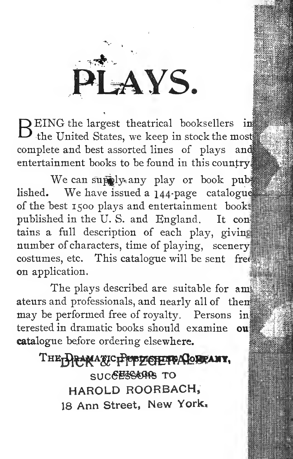AYS.

REING the largest theatrical booksellers in the United States, we keep in stock the most  $||$ complete and best assorted lines of plays and entertainment books to be found in this country.

We can supply any play or book pub lished. We have issued <sup>a</sup> 144-page catalogu of the best 1500 plays and entertainment book published in the U. S. and England. It coni tains a full description of each play, giving  $number of characters, time of playing, scenery$ costumes, etc. This catalogue will be sent free on application.

The plays described are suitable for am ateurs and professionals, and nearly all of then $\ddot{\hspace{0.1cm}\text{m}}$ may be performed free of royalty. Persons in terested in dramatic books should examine ou catalogue before ordering elsewhere.

THE DRAMA TCPPPZOFFPACOBRANY, SUCCESSORS TO HAROLD ROORBACH, <sup>18</sup> Ann Street, New York,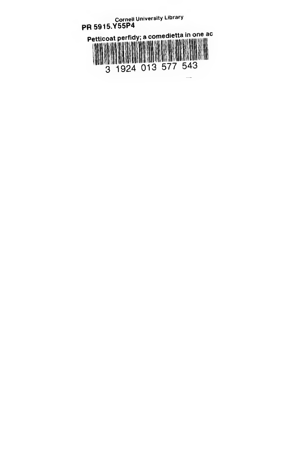